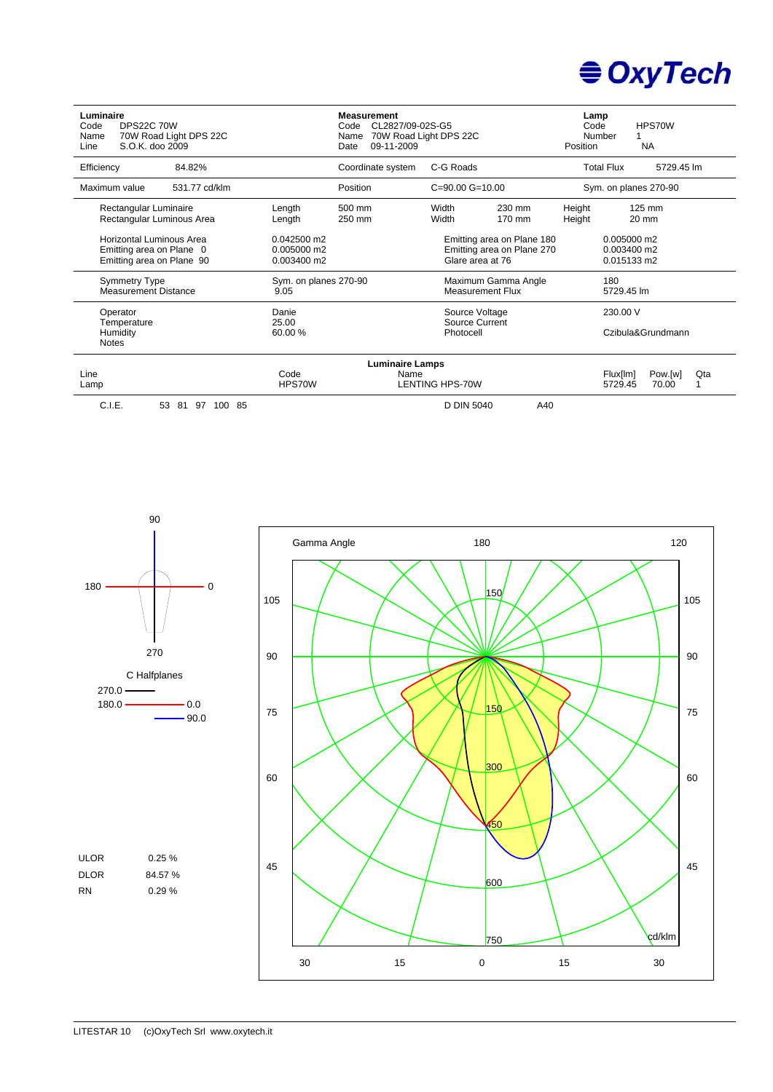

| Luminaire<br><b>DPS22C 70W</b><br>Code<br>70W Road Light DPS 22C<br>Name<br>S.O.K. doo 2009<br>Line |                       |                                             | <b>Measurement</b><br>Code CL2827/09-02S-G5<br>Name<br>09-11-2009<br>Date | 70W Road Light DPS 22C             | Lamp<br>HPS70W<br>Code<br>Number<br><b>NA</b><br>Position |                                                |                                           |  |  |
|-----------------------------------------------------------------------------------------------------|-----------------------|---------------------------------------------|---------------------------------------------------------------------------|------------------------------------|-----------------------------------------------------------|------------------------------------------------|-------------------------------------------|--|--|
| Efficiency                                                                                          | 84.82%                |                                             | Coordinate system                                                         | C-G Roads                          |                                                           |                                                | <b>Total Flux</b><br>5729.45 lm           |  |  |
| Maximum value                                                                                       | 531.77 cd/klm         |                                             | Position                                                                  | $C = 90.00$ $G = 10.00$            |                                                           |                                                | Sym. on planes 270-90                     |  |  |
| Rectangular Luminaire<br>Rectangular Luminous Area                                                  |                       | Length<br>Length                            | 500 mm<br>250 mm                                                          | Width<br>230 mm<br>Width<br>170 mm |                                                           | Height<br>Height                               | 125 mm<br>$20 \text{ mm}$                 |  |  |
| Horizontal Luminous Area<br>Emitting area on Plane 0<br>Emitting area on Plane 90                   |                       | $0.042500$ m2<br>0.005000 m2<br>0.003400 m2 |                                                                           | Glare area at 76                   | Emitting area on Plane 180<br>Emitting area on Plane 270  |                                                | 0.005000 m2<br>0.003400 m2<br>0.015133 m2 |  |  |
| <b>Symmetry Type</b><br><b>Measurement Distance</b>                                                 |                       | Sym. on planes 270-90<br>9.05               |                                                                           | <b>Measurement Flux</b>            | Maximum Gamma Angle                                       | 180<br>5729.45 lm                              |                                           |  |  |
| Operator<br>Temperature                                                                             |                       | Danie<br>25.00                              |                                                                           | Source Voltage<br>Source Current   |                                                           | 230.00 V                                       |                                           |  |  |
| 60.00 %<br>Humidity<br><b>Notes</b>                                                                 |                       |                                             | Photocell                                                                 |                                    |                                                           |                                                | Czibula&Grundmann                         |  |  |
|                                                                                                     |                       |                                             | <b>Luminaire Lamps</b>                                                    |                                    |                                                           |                                                |                                           |  |  |
| Line<br>Code<br>HPS70W<br>Lamp                                                                      |                       |                                             | Name                                                                      | <b>LENTING HPS-70W</b>             |                                                           | Qta<br>Pow.[w]<br>Flux[lm]<br>5729.45<br>70.00 |                                           |  |  |
| C.I.E.                                                                                              | 53<br>97 100 85<br>81 |                                             |                                                                           | D DIN 5040                         | A40                                                       |                                                |                                           |  |  |

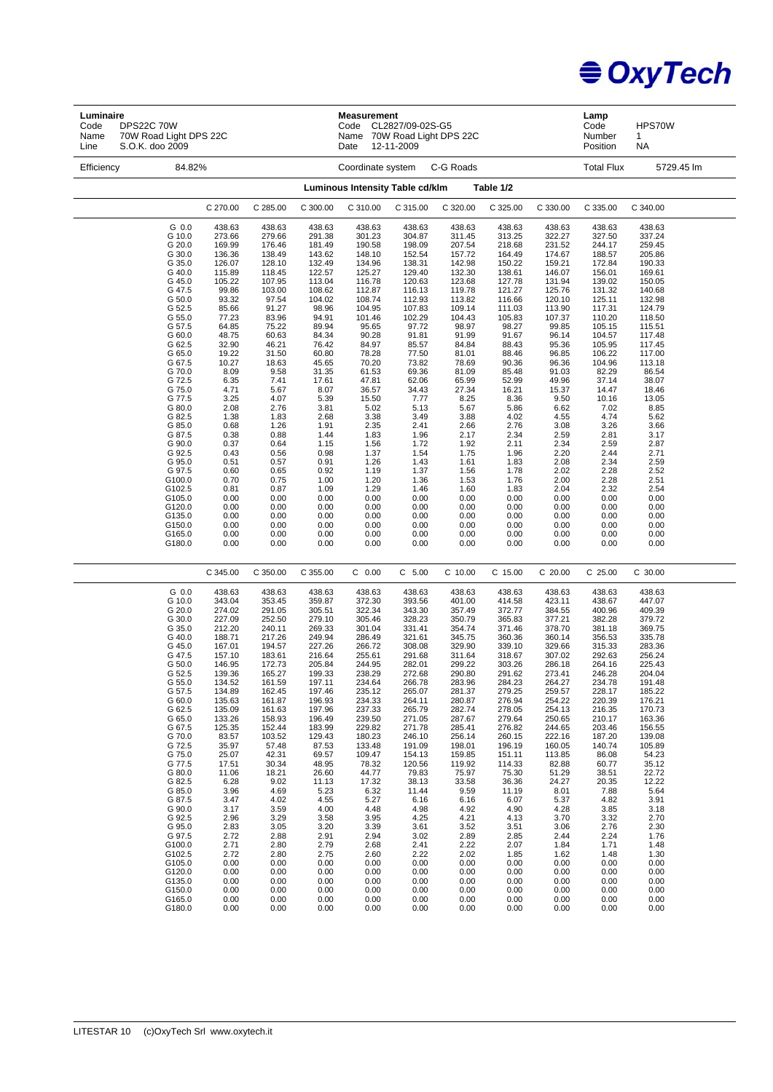

| Luminaire<br><b>DPS22C 70W</b><br>Code<br>70W Road Light DPS 22C<br>Name<br>Line<br>S.O.K. doo 2009 |                  |                  |                  | <b>Measurement</b><br>Code<br>Date | CL2827/09-02S-G5<br>Name 70W Road Light DPS 22C<br>12-11-2009 |                  |                  |                  | Lamp<br>Code<br>Number<br>Position | HPS70W<br>1<br>NA |  |
|-----------------------------------------------------------------------------------------------------|------------------|------------------|------------------|------------------------------------|---------------------------------------------------------------|------------------|------------------|------------------|------------------------------------|-------------------|--|
| 84.82%<br>Efficiency                                                                                |                  |                  |                  | Coordinate system                  |                                                               | C-G Roads        |                  |                  | <b>Total Flux</b>                  | 5729.45 lm        |  |
| Luminous Intensity Table cd/klm<br>Table 1/2                                                        |                  |                  |                  |                                    |                                                               |                  |                  |                  |                                    |                   |  |
|                                                                                                     | C 270.00         | C 285.00         | C 300.00         | C 310.00                           | C 315.00                                                      | C 320.00         | C 325.00         | C 330.00         | C 335.00                           | C 340.00          |  |
| G 0.0                                                                                               | 438.63           | 438.63           | 438.63           | 438.63                             | 438.63                                                        | 438.63           | 438.63           | 438.63           | 438.63                             | 438.63            |  |
| G 10.0                                                                                              | 273.66           | 279.66           | 291.38           | 301.23                             | 304.87                                                        | 311.45           | 313.25           | 322.27           | 327.50                             | 337.24            |  |
| G 20.0                                                                                              | 169.99           | 176.46           | 181.49           | 190.58                             | 198.09                                                        | 207.54           | 218.68           | 231.52           | 244.17                             | 259.45            |  |
| G 30.0<br>G 35.0                                                                                    | 136.36<br>126.07 | 138.49<br>128.10 | 143.62<br>132.49 | 148.10<br>134.96                   | 152.54<br>138.31                                              | 157.72<br>142.98 | 164.49<br>150.22 | 174.67<br>159.21 | 188.57<br>172.84                   | 205.86<br>190.33  |  |
| G 40.0                                                                                              | 115.89           | 118.45           | 122.57           | 125.27                             | 129.40                                                        | 132.30           | 138.61           | 146.07           | 156.01                             | 169.61            |  |
| G 45.0                                                                                              | 105.22           | 107.95           | 113.04           | 116.78                             | 120.63                                                        | 123.68           | 127.78           | 131.94           | 139.02                             | 150.05            |  |
| G 47.5                                                                                              | 99.86            | 103.00           | 108.62           | 112.87                             | 116.13                                                        | 119.78           | 121.27           | 125.76           | 131.32                             | 140.68            |  |
| G 50.0                                                                                              | 93.32            | 97.54            | 104.02           | 108.74                             | 112.93                                                        | 113.82           | 116.66           | 120.10           | 125.11                             | 132.98            |  |
| G 52.5                                                                                              | 85.66            | 91.27            | 98.96            | 104.95                             | 107.83                                                        | 109.14           | 111.03           | 113.90           | 117.31                             | 124.79            |  |
| G 55.0                                                                                              | 77.23            | 83.96            | 94.91            | 101.46                             | 102.29                                                        | 104.43           | 105.83           | 107.37           | 110.20                             | 118.50            |  |
| G 57.5<br>G 60.0                                                                                    | 64.85<br>48.75   | 75.22<br>60.63   | 89.94<br>84.34   | 95.65<br>90.28                     | 97.72<br>91.81                                                | 98.97<br>91.99   | 98.27<br>91.67   | 99.85<br>96.14   | 105.15<br>104.57                   | 115.51<br>117.48  |  |
| G 62.5                                                                                              | 32.90            | 46.21            | 76.42            | 84.97                              | 85.57                                                         | 84.84            | 88.43            | 95.36            | 105.95                             | 117.45            |  |
| G 65.0                                                                                              | 19.22            | 31.50            | 60.80            | 78.28                              | 77.50                                                         | 81.01            | 88.46            | 96.85            | 106.22                             | 117.00            |  |
| G 67.5                                                                                              | 10.27            | 18.63            | 45.65            | 70.20                              | 73.82                                                         | 78.69            | 90.36            | 96.36            | 104.96                             | 113.18            |  |
| G 70.0                                                                                              | 8.09             | 9.58             | 31.35            | 61.53                              | 69.36                                                         | 81.09            | 85.48            | 91.03            | 82.29                              | 86.54             |  |
| G 72.5                                                                                              | 6.35             | 7.41             | 17.61            | 47.81                              | 62.06                                                         | 65.99            | 52.99            | 49.96            | 37.14                              | 38.07             |  |
| G 75.0                                                                                              | 4.71             | 5.67<br>4.07     | 8.07             | 36.57                              | 34.43                                                         | 27.34            | 16.21            | 15.37<br>9.50    | 14.47                              | 18.46             |  |
| G 77.5<br>G 80.0                                                                                    | 3.25<br>2.08     | 2.76             | 5.39<br>3.81     | 15.50<br>5.02                      | 7.77<br>5.13                                                  | 8.25<br>5.67     | 8.36<br>5.86     | 6.62             | 10.16<br>7.02                      | 13.05<br>8.85     |  |
| G 82.5                                                                                              | 1.38             | 1.83             | 2.68             | 3.38                               | 3.49                                                          | 3.88             | 4.02             | 4.55             | 4.74                               | 5.62              |  |
| G 85.0                                                                                              | 0.68             | 1.26             | 1.91             | 2.35                               | 2.41                                                          | 2.66             | 2.76             | 3.08             | 3.26                               | 3.66              |  |
| G 87.5                                                                                              | 0.38             | 0.88             | 1.44             | 1.83                               | 1.96                                                          | 2.17             | 2.34             | 2.59             | 2.81                               | 3.17              |  |
| G 90.0                                                                                              | 0.37             | 0.64             | 1.15             | 1.56                               | 1.72                                                          | 1.92             | 2.11             | 2.34             | 2.59                               | 2.87              |  |
| G 92.5                                                                                              | 0.43             | 0.56             | 0.98             | 1.37                               | 1.54                                                          | 1.75             | 1.96             | 2.20             | 2.44                               | 2.71              |  |
| G 95.0                                                                                              | 0.51             | 0.57             | 0.91             | 1.26                               | 1.43                                                          | 1.61             | 1.83             | 2.08             | 2.34                               | 2.59              |  |
| G 97.5<br>G100.0                                                                                    | 0.60<br>0.70     | 0.65<br>0.75     | 0.92<br>1.00     | 1.19<br>1.20                       | 1.37<br>1.36                                                  | 1.56<br>1.53     | 1.78<br>1.76     | 2.02<br>2.00     | 2.28<br>2.28                       | 2.52<br>2.51      |  |
| G102.5                                                                                              | 0.81             | 0.87             | 1.09             | 1.29                               | 1.46                                                          | 1.60             | 1.83             | 2.04             | 2.32                               | 2.54              |  |
| G105.0                                                                                              | 0.00             | 0.00             | 0.00             | 0.00                               | 0.00                                                          | 0.00             | 0.00             | 0.00             | 0.00                               | 0.00              |  |
| G120.0                                                                                              | 0.00             | 0.00             | 0.00             | 0.00                               | 0.00                                                          | 0.00             | 0.00             | 0.00             | 0.00                               | 0.00              |  |
| G135.0                                                                                              | 0.00             | 0.00             | 0.00             | 0.00                               | 0.00                                                          | 0.00             | 0.00             | 0.00             | 0.00                               | 0.00              |  |
| G150.0                                                                                              | 0.00             | 0.00             | 0.00             | 0.00                               | 0.00                                                          | 0.00             | 0.00             | 0.00             | 0.00                               | 0.00              |  |
| G165.0                                                                                              | 0.00             | 0.00             | 0.00             | 0.00                               | 0.00                                                          | 0.00             | 0.00             | 0.00             | 0.00                               | 0.00              |  |
| G180.0                                                                                              | 0.00             | 0.00             | 0.00             | 0.00                               | 0.00                                                          | 0.00             | 0.00             | 0.00             | 0.00                               | 0.00              |  |
|                                                                                                     | C 345.00         | C 350.00         | C 355.00         | $C$ 0.00                           | $C$ 5.00                                                      | C 10.00          | C 15.00          | $C$ 20.00        | $C$ 25.00                          | C 30.00           |  |
|                                                                                                     |                  |                  |                  |                                    |                                                               |                  |                  |                  |                                    |                   |  |
| G 0.0<br>G 10.0                                                                                     | 438.63<br>343.04 | 438.63<br>353.45 | 438.63<br>359.87 | 438.63<br>372.30                   | 438.63<br>393.56                                              | 438.63<br>401.00 | 438.63<br>414.58 | 438.63<br>423.11 | 438.63<br>438.67                   | 438.63<br>447.07  |  |
| G 20.0                                                                                              | 274.02           | 291.05           | 305.51           | 322.34                             | 343.30                                                        | 357.49           | 372.77           | 384.55           | 400.96                             | 409.39            |  |
| G 30.0                                                                                              | 227.09           | 252.50           | 279.10           | 305.46                             | 328.23                                                        | 350.79           | 365.83           | 377.21           | 382.28                             | 379.72            |  |
| G 35.0                                                                                              | 212.20           | 240.11           | 269.33           | 301.04                             | 331.41                                                        | 354.74           | 371.46           | 378.70           | 381.18                             | 369.75            |  |
| G 40.0                                                                                              | 188.71           | 217.26           | 249.94           | 286.49                             | 321.61                                                        | 345.75           | 360.36           | 360.14           | 356.53                             | 335.78            |  |
| G 45.0                                                                                              | 167.01           | 194.57           | 227.26           | 266.72                             | 308.08                                                        | 329.90           | 339.10           | 329.66           | 315.33                             | 283.36            |  |
| G 47.5<br>G 50.0                                                                                    | 157.10<br>146.95 | 183.61<br>172.73 | 216.64<br>205.84 | 255.61<br>244.95                   | 291.68<br>282.01                                              | 311.64<br>299.22 | 318.67<br>303.26 | 307.02<br>286.18 | 292.63<br>264.16                   | 256.24<br>225.43  |  |
| G 52.5                                                                                              | 139.36           | 165.27           | 199.33           | 238.29                             | 272.68                                                        | 290.80           | 291.62           | 273.41           | 246.28                             | 204.04            |  |
| G 55.0                                                                                              | 134.52           | 161.59           | 197.11           | 234.64                             | 266.78                                                        | 283.96           | 284.23           | 264.27           | 234.78                             | 191.48            |  |
| G 57.5                                                                                              | 134.89           | 162.45           | 197.46           | 235.12                             | 265.07                                                        | 281.37           | 279.25           | 259.57           | 228.17                             | 185.22            |  |
| G 60.0                                                                                              | 135.63           | 161.87           | 196.93           | 234.33                             | 264.11                                                        | 280.87           | 276.94           | 254.22           | 220.39                             | 176.21            |  |
| G 62.5<br>G 65.0                                                                                    | 135.09<br>133.26 | 161.63<br>158.93 | 197.96<br>196.49 | 237.33<br>239.50                   | 265.79<br>271.05                                              | 282.74<br>287.67 | 278.05<br>279.64 | 254.13<br>250.65 | 216.35<br>210.17                   | 170.73<br>163.36  |  |
| G 67.5                                                                                              | 125.35           | 152.44           | 183.99           | 229.82                             | 271.78                                                        | 285.41           | 276.82           | 244.65           | 203.46                             | 156.55            |  |
| G 70.0                                                                                              | 83.57            | 103.52           | 129.43           | 180.23                             | 246.10                                                        | 256.14           | 260.15           | 222.16           | 187.20                             | 139.08            |  |
| G 72.5                                                                                              | 35.97            | 57.48            | 87.53            | 133.48                             | 191.09                                                        | 198.01           | 196.19           | 160.05           | 140.74                             | 105.89            |  |
| G 75.0                                                                                              | 25.07            | 42.31            | 69.57            | 109.47                             | 154.13                                                        | 159.85           | 151.11           | 113.85           | 86.08                              | 54.23             |  |
| G 77.5                                                                                              | 17.51            | 30.34            | 48.95            | 78.32                              | 120.56                                                        | 119.92           | 114.33           | 82.88            | 60.77                              | 35.12             |  |
| G 80.0<br>G 82.5                                                                                    | 11.06<br>6.28    | 18.21<br>9.02    | 26.60<br>11.13   | 44.77<br>17.32                     | 79.83<br>38.13                                                | 75.97<br>33.58   | 75.30<br>36.36   | 51.29<br>24.27   | 38.51<br>20.35                     | 22.72<br>12.22    |  |
| G 85.0                                                                                              | 3.96             | 4.69             | 5.23             | 6.32                               | 11.44                                                         | 9.59             | 11.19            | 8.01             | 7.88                               | 5.64              |  |
| G 87.5                                                                                              | 3.47             | 4.02             | 4.55             | 5.27                               | 6.16                                                          | 6.16             | 6.07             | 5.37             | 4.82                               | 3.91              |  |
| G 90.0                                                                                              | 3.17             | 3.59             | 4.00             | 4.48                               | 4.98                                                          | 4.92             | 4.90             | 4.28             | 3.85                               | 3.18              |  |
| G 92.5                                                                                              | 2.96             | 3.29             | 3.58             | 3.95                               | 4.25                                                          | 4.21             | 4.13             | 3.70             | 3.32                               | 2.70              |  |
| G 95.0                                                                                              | 2.83             | 3.05             | 3.20             | 3.39                               | 3.61                                                          | 3.52             | 3.51             | 3.06             | 2.76                               | 2.30              |  |
| G 97.5                                                                                              | 2.72             | 2.88             | 2.91             | 2.94                               | 3.02                                                          | 2.89             | 2.85             | 2.44             | 2.24                               | 1.76              |  |
| G100.0<br>G102.5                                                                                    | 2.71<br>2.72     | 2.80<br>2.80     | 2.79<br>2.75     | 2.68<br>2.60                       | 2.41<br>2.22                                                  | 2.22<br>2.02     | 2.07<br>1.85     | 1.84<br>1.62     | 1.71<br>1.48                       | 1.48<br>1.30      |  |
| G105.0                                                                                              | 0.00             | 0.00             | 0.00             | 0.00                               | 0.00                                                          | 0.00             | 0.00             | 0.00             | 0.00                               | 0.00              |  |
| G120.0                                                                                              | 0.00             | 0.00             | 0.00             | 0.00                               | 0.00                                                          | 0.00             | 0.00             | 0.00             | 0.00                               | 0.00              |  |
| G135.0                                                                                              | 0.00             | 0.00             | 0.00             | 0.00                               | 0.00                                                          | 0.00             | 0.00             | 0.00             | 0.00                               | 0.00              |  |
| G150.0<br>G165.0                                                                                    | 0.00             | 0.00             | 0.00             | 0.00                               | 0.00                                                          | 0.00             | 0.00             | 0.00             | 0.00                               | 0.00              |  |
|                                                                                                     | 0.00             | 0.00             | 0.00             | 0.00                               | 0.00                                                          | 0.00             | 0.00             | 0.00             | 0.00                               | 0.00              |  |
| G180.0                                                                                              | 0.00             | 0.00             | 0.00             | 0.00                               | 0.00                                                          | 0.00             | 0.00             | 0.00             | 0.00                               | 0.00              |  |